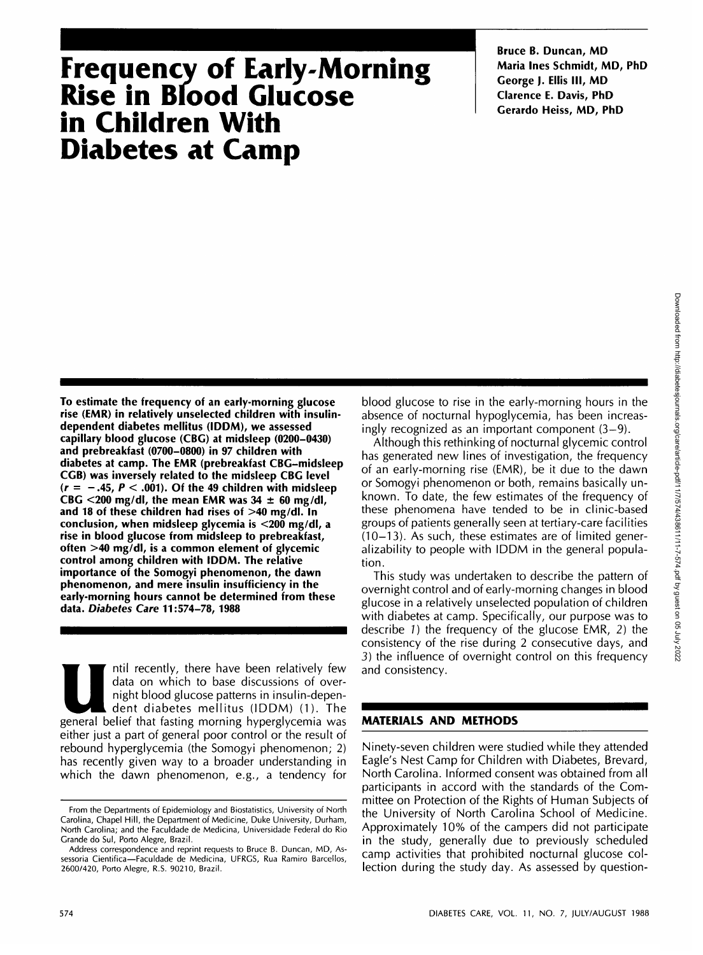# **Frequency of Early-Morning Rise in Blood Glucose in Children With Diabetes at Camp**

**Bruce B. Duncan, MD Maria Ines Schmidt, MD, PhD George ). Ellis III, MD Clarence E. Davis, PhD Gerardo Heiss, MD, PhD**

**To estimate the frequency of an early-morning glucose rise (EMR) in relatively unselected children with insulindependent diabetes mellitus (IDDM), we assessed capillary blood glucose (CBG) at midsleep (0200-0430) and prebreakfast (0700-0800) in 97 children with diabetes at camp. The EMR (prebreakfast CBG-midsleep CGB) was inversely related to the midsleep CBG level**  $(r = -.45, P < .001)$ . Of the 49 children with midsleep **CBG <200 mg/dl, the mean EMR was 34 ± 60 mg/dl, and 18 of these children had rises of >40 mg/dl. In conclusion, when midsleep glycemia is <200 mg/dl, a rise in blood glucose from midsleep to prebreakfast, often >40 mg/dl, is a common element of glycemic control among children with IDDM. The relative importance of the Somogyi phenomenon, the dawn phenomenon, and mere insulin insufficiency in the early-morning hours cannot be determined from these data. Diabetes Care 11:574-78, 1988**

Intil recently, there have been relatively few<br>data on which to base discussions of over-<br>night blood glucose patterns in insulin-depen-<br>dent diabetes mellitus (IDDM) (1). The<br>general belief that fasting morning hyperglyce data on which to base discussions of overnight blood glucose patterns in insulin-dependent diabetes mellitus (IDDM) (1). The either just a part of general poor control or the result of rebound hyperglycemia (the Somogyi phenomenon; 2) has recently given way to a broader understanding in which the dawn phenomenon, e.g., a tendency for blood glucose to rise in the early-morning hours in the absence of nocturnal hypoglycemia, has been increasingly recognized as an important component  $(3-9)$ .

Although this rethinking of nocturnal glycemic control has generated new lines of investigation, the frequency of an early-morning rise (EMR), be it due to the dawn or Somogyi phenomenon or both, remains basically unknown. To date, the few estimates of the frequency of these phenomena have tended to be in clinic-based groups of patients generally seen at tertiary-care facilities (10-13). As such, these estimates are of limited generalizability to people with IDDM in the general population.

This study was undertaken to describe the pattern of overnight control and of early-morning changes in blood glucose in a relatively unselected population of children with diabetes at camp. Specifically, our purpose was to describe 7) the frequency of the glucose EMR, 2) the consistency of the rise during 2 consecutive days, and 3) the influence of overnight control on this frequency and consistency.

# **MATERIALS AND METHODS**

Ninety-seven children were studied while they attended Eagle's Nest Camp for Children with Diabetes, Brevard, North Carolina. Informed consent was obtained from all participants in accord with the standards of the Committee on Protection of the Rights of Human Subjects of the University of North Carolina School of Medicine. Approximately 10% of the campers did not participate in the study, generally due to previously scheduled camp activities that prohibited nocturnal glucose collection during the study day. As assessed by question-

From the Departments of Epidemiology and Biostatistics, University of North Carolina, Chapel Hill, the Department of Medicine, Duke University, Durham, North Carolina; and the Faculdade de Medicina, Universidade Federal do Rio Grande do Sul, Porto Alegre, Brazil.

Address correspondence and reprint requests to Bruce B. Duncan, MD, Assessoria Cientifica—Faculdade de Medicina, UFRGS, Rua Ramiro Barcellos, 2600/420, Porto Alegre, R.S. 90210, Brazil.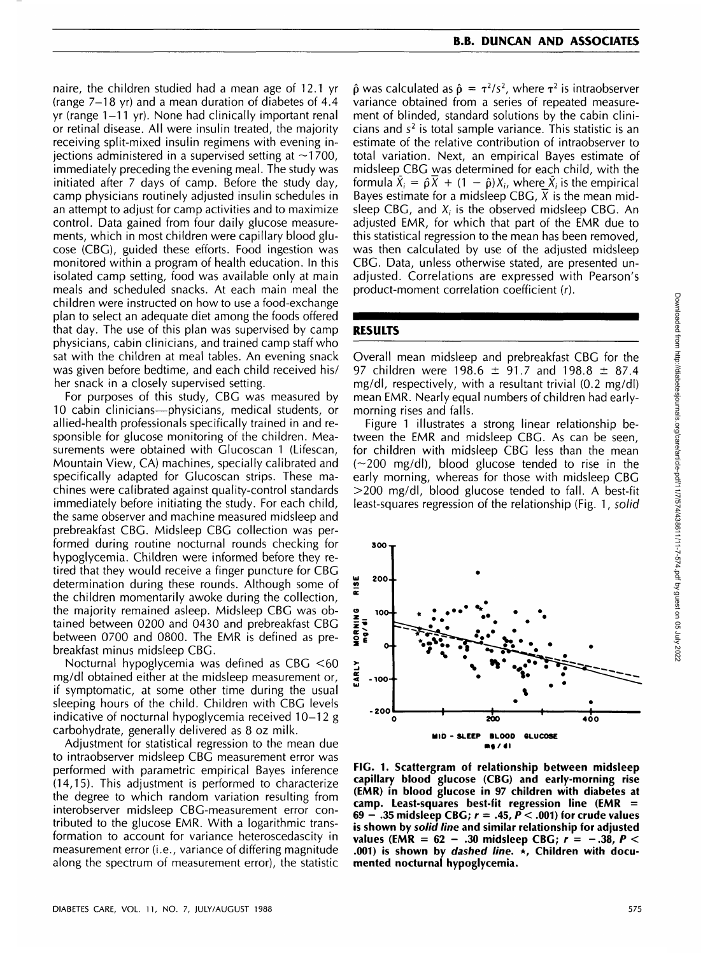naire, the children studied had a mean age of 12.1 yr (range 7-18 yr) and a mean duration of diabetes of 4.4 yr (range 1-11 yr). None had clinically important renal or retinal disease. All were insulin treated, the majority receiving split-mixed insulin regimens with evening iniections administered in a supervised setting at  $\sim$ 1700. immediately preceding the evening meal. The study was initiated after 7 days of camp. Before the study day, camp physicians routinely adjusted insulin schedules in an attempt to adjust for camp activities and to maximize control. Data gained from four daily glucose measurements, which in most children were capillary blood glucose (CBG), guided these efforts. Food ingestion was monitored within a program of health education. In this isolated camp setting, food was available only at main meals and scheduled snacks. At each main meal the children were instructed on how to use a food-exchange plan to select an adequate diet among the foods offered that day. The use of this plan was supervised by camp physicians, cabin clinicians, and trained camp staff who sat with the children at meal tables. An evening snack was given before bedtime, and each child received his/ her snack in a closely supervised setting.

For purposes of this study, CBG was measured by 10 cabin clinicians—physicians, medical students, or allied-health professionals specifically trained in and responsible for glucose monitoring of the children. Measurements were obtained with Glucoscan 1 (Lifescan, Mountain View, CA) machines, specially calibrated and specifically adapted for Glucoscan strips. These machines were calibrated against quality-control standards immediately before initiating the study. For each child, the same observer and machine measured midsleep and prebreakfast CBG. Midsleep CBG collection was performed during routine nocturnal rounds checking for hypoglycemia. Children were informed before they retired that they would receive a finger puncture for CBG determination during these rounds. Although some of the children momentarily awoke during the collection, the majority remained asleep. Midsleep CBG was obtained between 0200 and 0430 and prebreakfast CBG between 0700 and 0800. The EMR is defined as prebreakfast minus midsleep CBG.

Nocturnal hypoglycemia was defined as CBG <60 mg/dl obtained either at the midsleep measurement or, if symptomatic, at some other time during the usual sleeping hours of the child. Children with CBG levels indicative of nocturnal hypoglycemia received 10-12 g carbohydrate, generally delivered as 8 oz milk.

Adjustment for statistical regression to the mean due to intraobserver midsleep CBG measurement error was performed with parametric empirical Bayes inference (14,15). This adjustment is performed to characterize the degree to which random variation resulting from interobserver midsleep CBG-measurement error contributed to the glucose EMR. With a logarithmic transformation to account for variance heteroscedascity in measurement error (i.e., variance of differing magnitude along the spectrum of measurement error), the statistic

 $\hat{\rho}$  was calculated as  $\hat{\rho} = \tau^2/s^2$ , where  $\tau^2$  is intraobserver variance obtained from a series of repeated measurement of blinded, standard solutions by the cabin clinicians and  $s<sup>2</sup>$  is total sample variance. This statistic is an estimate of the relative contribution of intraobserver to total variation. Next, an empirical Bayes estimate of midsleep CBG was determined for each child, with the formula  $\tilde{X}_i = \hat{\rho} \overline{X} + (1 - \hat{\rho})X_i$ , where  $\tilde{X}_i$  is the empirical Bayes estimate for a midsleep CBG,  $\overline{X}$  is the mean midsleep CBG, and  $X_i$  is the observed midsleep CBG. An adjusted EMR, for which that part of the EMR due to this statistical regression to the mean has been removed, was then calculated by use of the adjusted midsleep CBG. Data, unless otherwise stated, are presented unadjusted. Correlations are expressed with Pearson's product-moment correlation coefficient (r).

#### **RESULTS**

Overall mean midsleep and prebreakfast CBG for the 97 children were 198.6 ± 91.7 and 198.8 ± 87.4 mg/dl, respectively, with a resultant trivial (0.2 mg/dl) mean EMR. Nearly equal numbers of children had earlymorning rises and falls.

Figure 1 illustrates a strong linear relationship between the EMR and midsleep CBG. As can be seen, for children with midsleep CBG less than the mean  $(-200 \text{ mg/d})$ , blood glucose tended to rise in the early morning, whereas for those with midsleep CBG >200 mg/dl, blood glucose tended to fall. A best-fit least-squares regression of the relationship (Fig. 1, solid



**FIG. 1. Scattergram of relationship between midsleep capillary blood glucose (CBG) and early-morning rise (EMR) in blood glucose in 97 children with diabetes at camp. Least-squares best-fit regression line (EMR = 69 - .35 midsleep CBG; r = .45, P < .001) for crude values is shown by solid line and similar relationship for adjusted values (EMR = 62 - .30 midsleep CBG; r = -.38, P < .001) is shown by dashed line. \*, Children with documented nocturnal hypoglycemia.**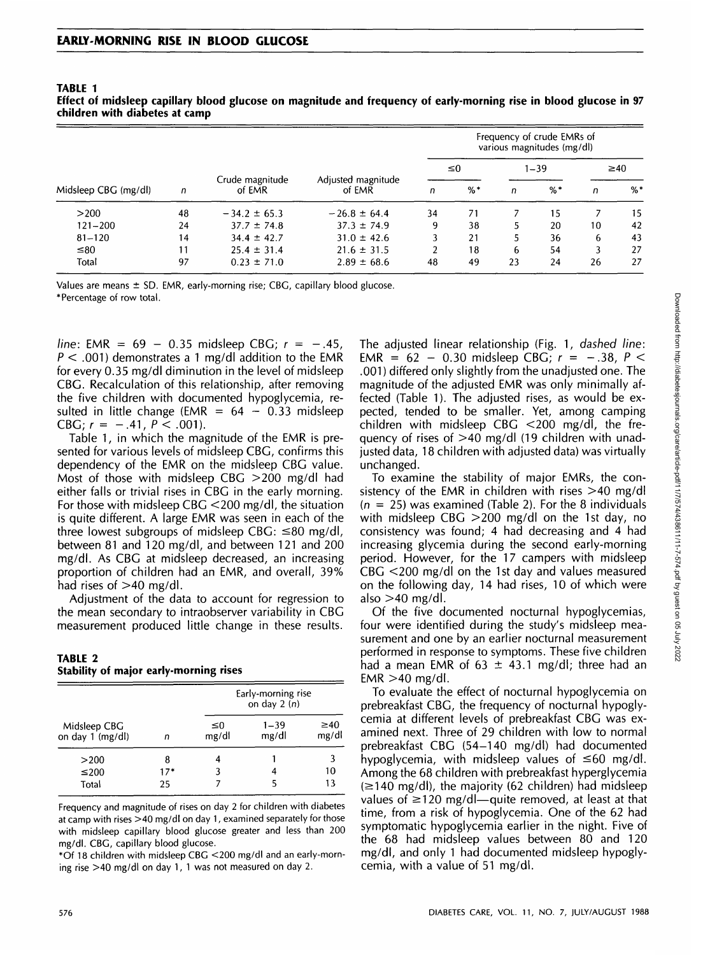| Midsleep CBG (mg/dl) | n  | Crude magnitude<br>of EMR | Adjusted magnitude<br>of EMR | Frequency of crude EMRs of<br>various magnitudes (mg/dl) |       |          |       |           |       |
|----------------------|----|---------------------------|------------------------------|----------------------------------------------------------|-------|----------|-------|-----------|-------|
|                      |    |                           |                              | $\leq 0$                                                 |       | $1 - 39$ |       | $\geq 40$ |       |
|                      |    |                           |                              | n                                                        | $%$ * | n        | $%$ * | n         | $%$ * |
| >200                 | 48 | $-34.2 \pm 65.3$          | $-26.8 \pm 64.4$             | 34                                                       | 71    |          | 15    |           | 15    |
| $121 - 200$          | 24 | $37.7 \pm 74.8$           | $37.3 \pm 74.9$              | 9                                                        | 38    |          | 20    | 10        | 42    |
| $81 - 120$           | 14 | $34.4 \pm 42.7$           | $31.0 \pm 42.6$              |                                                          | 21    |          | 36    | 6         | 43    |
| $\leq 80$            | 11 | $25.4 \pm 31.4$           | $21.6 \pm 31.5$              | 2                                                        | 18    | 6        | 54    |           | 27    |
| Total                | 97 | $0.23 \pm 71.0$           | $2.89 \pm 68.6$              | 48                                                       | 49    | 23       | 24    | 26        | 27    |

**TABLE 1 Effect of midsleep capillary blood glucose on magnitude and frequency of early-morning rise in blood glucose in 97 children with diabetes at camp**

Values are means  $\pm$  SD. EMR, early-morning rise; CBG, capillary blood glucose. \* Percentage of row total.

line: EMR =  $69 - 0.35$  midsleep CBG;  $r = -.45$ ,  $P < .001$ ) demonstrates a 1 mg/dl addition to the EMR for every 0.35 mg/dl diminution in the level of midsleep CBG. Recalculation of this relationship, after removing the five children with documented hypoglycemia, resulted in little change (EMR =  $64 - 0.33$  midsleep CBG;  $r = -.41$ ,  $P < .001$ ).

Table 1, in which the magnitude of the EMR is presented for various levels of midsleep CBG, confirms this dependency of the EMR on the midsleep CBG value. Most of those with midsleep CBG >200 mg/dl had either falls or trivial rises in CBG in the early morning. For those with midsleep CBG <200 mg/dl, the situation is quite different. A large EMR was seen in each of the three lowest subgroups of midsleep CBG:  $\leq 80$  mg/dl, between 81 and 120 mg/dl, and between 121 and 200 mg/dl. As CBG at midsleep decreased, an increasing proportion of children had an EMR, and overall, 39% had rises of  $>40$  mg/dl.

Adjustment of the data to account for regression to the mean secondary to intraobserver variability in CBG measurement produced little change in these results.

#### **TABLE 2 Stability of major early-morning rises**

|                                  |       | Early-morning rise<br>on day $2(n)$ |                   |                    |  |  |
|----------------------------------|-------|-------------------------------------|-------------------|--------------------|--|--|
| Midsleep CBG<br>on day 1 (mg/dl) | n     | ≤0<br>mg/dl                         | $1 - 39$<br>mg/dl | $\geq 40$<br>mg/dl |  |  |
| >200                             | 8     |                                     |                   |                    |  |  |
| ≤200                             | $17*$ |                                     |                   | 10                 |  |  |
| Total                            | 25    |                                     |                   | 13                 |  |  |

Frequency and magnitude of rises on day 2 for children with diabetes at camp with rises >40 mg/dl on day 1, examined separately for those with midsleep capillary blood glucose greater and less than 200 mg/dl. CBG, capillary blood glucose.

\*Of 18 children with midsleep CBG <200 mg/dl and an early-morning rise >40 mg/dl on day 1, 1 was not measured on day 2.

The adjusted linear relationship (Fig. 1, dashed line: EMR =  $62 - 0.30$  midsleep CBG;  $r = -.38$ ,  $P <$ .001) differed only slightly from the unadjusted one. The magnitude of the adjusted EMR was only minimally affected (Table 1). The adjusted rises, as would be expected, tended to be smaller. Yet, among camping children with midsleep CBG <200 mg/dl, the frequency of rises of >40 mg/dl (19 children with unadjusted data, 18 children with adjusted data) was virtually unchanged.

To examine the stability of major EMRs, the consistency of the EMR in children with rises >40 mg/dl  $(n = 25)$  was examined (Table 2). For the 8 individuals with midsleep CBG >200 mg/dl on the 1st day, no consistency was found; 4 had decreasing and 4 had increasing glycemia during the second early-morning period. However, for the 17 campers with midsleep CBG <200 mg/dl on the 1st day and values measured on the following day, 14 had rises, 10 of which were also  $>40$  mg/dl.

Of the five documented nocturnal hypoglycemias, four were identified during the study's midsleep measurement and one by an earlier nocturnal measurement performed in response to symptoms. These five children had a mean EMR of  $63 \pm 43.1$  mg/dl; three had an  $EMR > 40$  mg/dl.

To evaluate the effect of nocturnal hypoglycemia on prebreakfast CBG, the frequency of nocturnal hypoglycemia at different levels of prebreakfast CBG was examined next. Three of 29 children with low to normal prebreakfast CBG (54-140 mg/dl) had documented hypoglycemia, with midsleep values of  $\leq 60$  mg/dl. Among the 68 children with prebreakfast hyperglycemia  $(\geq 140 \text{ mg/d})$ , the majority (62 children) had midsleep values of  $\geq$ 120 mg/dl—quite removed, at least at that time, from a risk of hypoglycemia. One of the 62 had symptomatic hypoglycemia earlier in the night. Five of the 68 had midsleep values between 80 and 120 mg/dl, and only 1 had documented midsleep hypoglycemia, with a value of 51 mg/dl.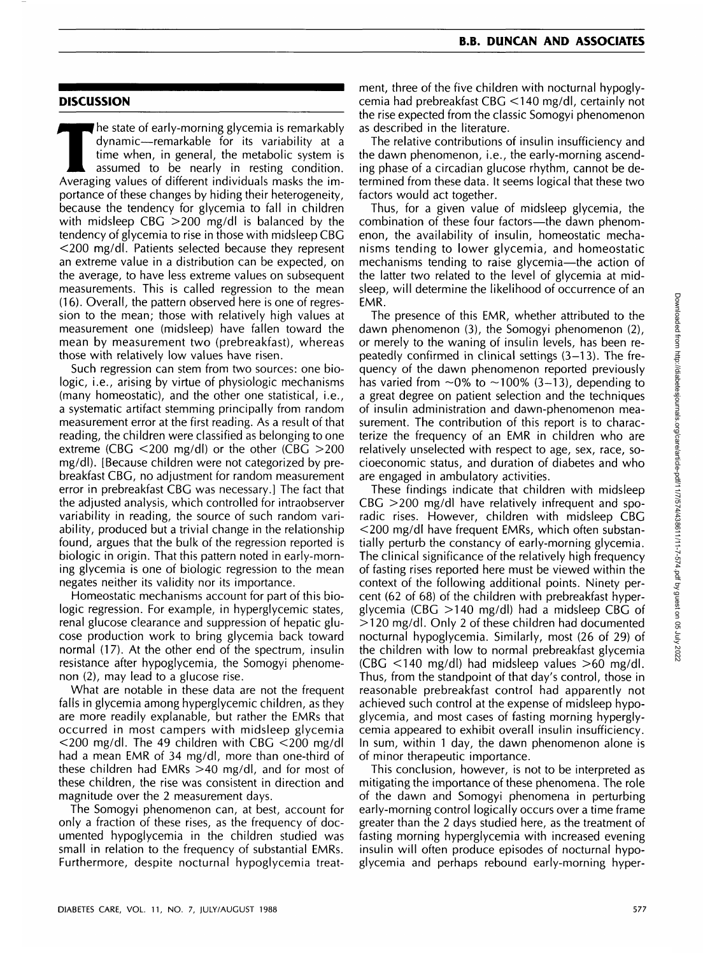#### **B.B. DUNCAN AND ASSOCIATES**

### **DISCUSSION**

The state of early-morning glycemia is remarkably<br>dynamic—remarkable for its variability at a<br>time when, in general, the metabolic system is<br>assumed to be nearly in resting condition.<br>Averaging values of different individu dynamic—remarkable for its variability at a time when, in general, the metabolic system is assumed to be nearly in resting condition. Averaging values of different individuals masks the importance of these changes by hiding their heterogeneity, because the tendency for glycemia to fall in children with midsleep CBG >200 mg/dl is balanced by the tendency of glycemia to rise in those with midsleep CBG <200 mg/dl. Patients selected because they represent an extreme value in a distribution can be expected, on the average, to have less extreme values on subsequent measurements. This is called regression to the mean (16). Overall, the pattern observed here is one of regression to the mean; those with relatively high values at measurement one (midsleep) have fallen toward the mean by measurement two (prebreakfast), whereas those with relatively low values have risen.

Such regression can stem from two sources: one biologic, i.e., arising by virtue of physiologic mechanisms (many homeostatic), and the other one statistical, i.e., a systematic artifact stemming principally from random measurement error at the first reading. As a result of that reading, the children were classified as belonging to one extreme (CBG  $\leq$ 200 mg/dl) or the other (CBG  $\geq$ 200 mg/dl). [Because children were not categorized by prebreakfast CBG, no adjustment for random measurement error in prebreakfast CBG was necessary.] The fact that the adjusted analysis, which controlled for intraobserver variability in reading, the source of such random variability, produced but a trivial change in the relationship found, argues that the bulk of the regression reported is biologic in origin. That this pattern noted in early-morning glycemia is one of biologic regression to the mean negates neither its validity nor its importance.

Homeostatic mechanisms account for part of this biologic regression. For example, in hyperglycemic states, renal glucose clearance and suppression of hepatic glucose production work to bring glycemia back toward normal (17). At the other end of the spectrum, insulin resistance after hypoglycemia, the Somogyi phenomenon (2), may lead to a glucose rise.

What are notable in these data are not the frequent falls in glycemia among hyperglycemic children, as they are more readily explanable, but rather the EMRs that occurred in most campers with midsleep glycemia  $<$  200 mg/dl. The 49 children with CBG  $<$  200 mg/dl had a mean EMR of 34 mg/dl, more than one-third of these children had EMRs >40 mg/dl, and for most of these children, the rise was consistent in direction and magnitude over the 2 measurement days.

The Somogyi phenomenon can, at best, account for only a fraction of these rises, as the frequency of documented hypoglycemia in the children studied was small in relation to the frequency of substantial EMRs. Furthermore, despite nocturnal hypoglycemia treatment, three of the five children with nocturnal hypoglycemia had prebreakfast CBG <140 mg/dl, certainly not the rise expected from the classic Somogyi phenomenon as described in the literature.

The relative contributions of insulin insufficiency and the dawn phenomenon, i.e., the early-morning ascending phase of a circadian glucose rhythm, cannot be determined from these data. It seems logical that these two factors would act together.

Thus, for a given value of midsleep glycemia, the combination of these four factors—the dawn phenomenon, the availability of insulin, homeostatic mechanisms tending to lower glycemia, and homeostatic mechanisms tending to raise glycemia—the action of the latter two related to the level of glycemia at midsleep, will determine the likelihood of occurrence of an EMR.

The presence of this EMR, whether attributed to the dawn phenomenon (3), the Somogyi phenomenon (2), or merely to the waning of insulin levels, has been repeatedly confirmed in clinical settings (3-13). The frequency of the dawn phenomenon reported previously has varied from  $\sim 0\%$  to  $\sim 100\%$  (3–13), depending to a great degree on patient selection and the techniques of insulin administration and dawn-phenomenon measurement. The contribution of this report is to characterize the frequency of an EMR in children who are relatively unselected with respect to age, sex, race, socioeconomic status, and duration of diabetes and who are engaged in ambulatory activities.

These findings indicate that children with midsleep  $CBG > 200$  mg/dl have relatively infrequent and sporadic rises. However, children with midsleep CBG <200 mg/dl have frequent EMRs, which often substantially perturb the constancy of early-morning glycemia. The clinical significance of the relatively high frequency of fasting rises reported here must be viewed within the context of the following additional points. Ninety percent (62 of 68) of the children with prebreakfast hyperglycemia (CBG  $>$ 140 mg/dl) had a midsleep CBG of >120 mg/dl. Only 2 of these children had documented nocturnal hypoglycemia. Similarly, most (26 of 29) of the children with low to normal prebreakfast glycemia (CBG <140 mg/dl) had midsleep values >60 mg/dl. Thus, from the standpoint of that day's control, those in reasonable prebreakfast control had apparently not achieved such control at the expense of midsleep hypoglycemia, and most cases of fasting morning hyperglycemia appeared to exhibit overall insulin insufficiency. In sum, within 1 day, the dawn phenomenon alone is of minor therapeutic importance.

This conclusion, however, is not to be interpreted as mitigating the importance of these phenomena. The role of the dawn and Somogyi phenomena in perturbing early-morning control logically occurs over a time frame greater than the 2 days studied here, as the treatment of fasting morning hyperglycemia with increased evening insulin will often produce episodes of nocturnal hypoglycemia and perhaps rebound early-morning hyper